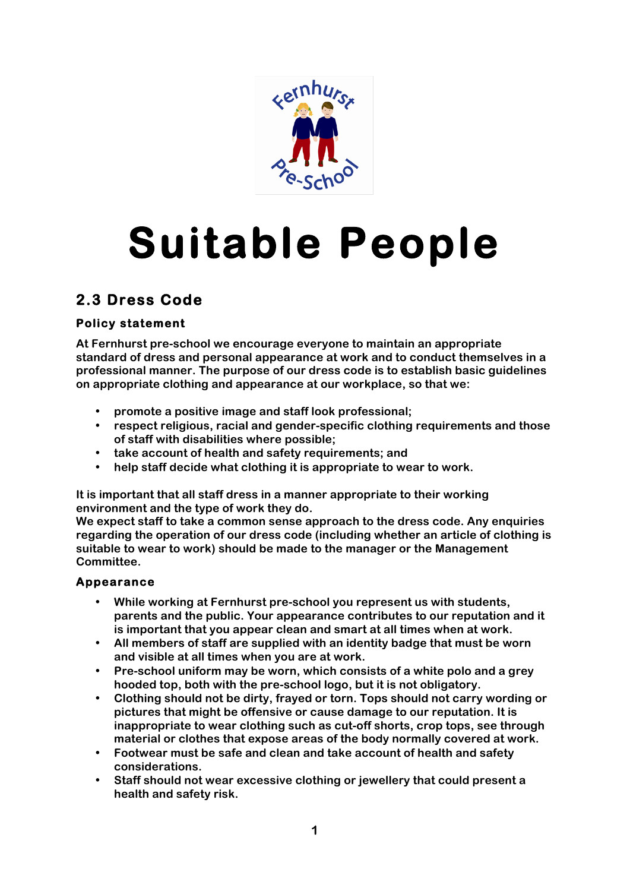

# **Suitable People**

# **2.3 Dress Code**

## **Policy statement**

**At Fernhurst pre-school we encourage everyone to maintain an appropriate standard of dress and personal appearance at work and to conduct themselves in a professional manner. The purpose of our dress code is to establish basic guidelines on appropriate clothing and appearance at our workplace, so that we:**

- **promote a positive image and staff look professional;**
- **respect religious, racial and gender-specific clothing requirements and those of staff with disabilities where possible;**
- **take account of health and safety requirements; and**
- **help staff decide what clothing it is appropriate to wear to work.**

**It is important that all staff dress in a manner appropriate to their working environment and the type of work they do.**

**We expect staff to take a common sense approach to the dress code. Any enquiries regarding the operation of our dress code (including whether an article of clothing is suitable to wear to work) should be made to the manager or the Management Committee.**

### **Appearance**

- **While working at Fernhurst pre-school you represent us with students, parents and the public. Your appearance contributes to our reputation and it is important that you appear clean and smart at all times when at work.**
- **All members of staff are supplied with an identity badge that must be worn and visible at all times when you are at work.**
- **Pre-school uniform may be worn, which consists of a white polo and a grey hooded top, both with the pre-school logo, but it is not obligatory.**
- **Clothing should not be dirty, frayed or torn. Tops should not carry wording or pictures that might be offensive or cause damage to our reputation. It is inappropriate to wear clothing such as cut-off shorts, crop tops, see through material or clothes that expose areas of the body normally covered at work.**
- **Footwear must be safe and clean and take account of health and safety considerations.**
- **Staff should not wear excessive clothing or jewellery that could present a health and safety risk.**